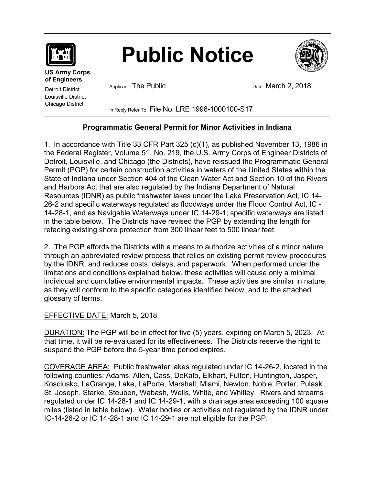

# **Public Notice**



**US Army Corps of Engineers** 

Detroit District Louisville District Chicago District

Applicant: The Public **Date: March 2, 2018** 

In Reply Refer To: File No. LRE 1998-1000100-S17

# **Programmatic General Permit for Minor Activities in Indiana**

1. In accordance with Title 33 CFR Part 325 (c)(1), as published November 13, 1986 in the Federal Register, Volume 51, No. 219, the U.S. Army Corps of Engineer Districts of Detroit, Louisville, and Chicago (the Districts), have reissued the Programmatic General Permit (PGP) for certain construction activities in waters of the United States within the State of Indiana under Section 404 of the Clean Water Act and Section 10 of the Rivers and Harbors Act that are also regulated by the Indiana Department of Natural Resources (IDNR) as public freshwater lakes under the Lake Preservation Act, IC 14- 26-2 and specific waterways regulated as floodways under the Flood Control Act, IC - 14-28-1, and as Navigable Waterways under IC 14-29-1; specific waterways are listed in the table below. The Districts have revised the PGP by extending the length for refacing existing shore protection from 300 linear feet to 500 linear feet.

2. The PGP affords the Districts with a means to authorize activities of a minor nature through an abbreviated review process that relies on existing permit review procedures by the IDNR, and reduces costs, delays, and paperwork. When performed under the limitations and conditions explained below, these activities will cause only a minimal individual and cumulative environmental impacts. These activities are similar in nature, as they will conform to the specific categories identified below, and to the attached glossary of terms.

# EFFECTIVE DATE: March 5, 2018

DURATION: The PGP will be in effect for five (5) years, expiring on March 5, 2023. At that time, it will be re-evaluated for its effectiveness. The Districts reserve the right to suspend the PGP before the 5-year time period expires.

COVERAGE AREA: Public freshwater lakes regulated under IC 14-26-2, located in the following counties: Adams, Allen, Cass, DeKalb, Elkhart, Fulton, Huntington, Jasper, Kosciusko, LaGrange, Lake, LaPorte, Marshall, Miami, Newton, Noble, Porter, Pulaski, St. Joseph, Starke, Steuben, Wabash, Wells, White, and Whitley. Rivers and streams regulated under IC 14-28-1 and IC 14-29-1, with a drainage area exceeding 100 square miles (listed in table below). Water bodies or activities not regulated by the IDNR under IC-14-26-2 or IC 14-28-1 and IC 14-29-1 are not eligible for the PGP.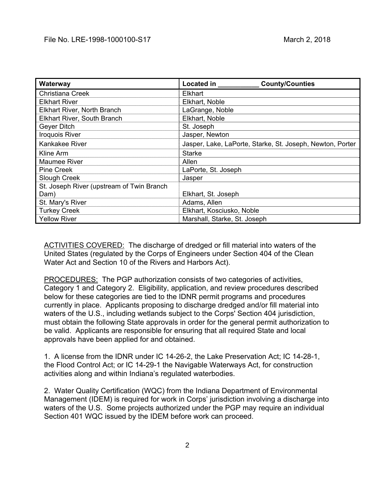| Waterway                                  | Located in<br><b>County/Counties</b>                      |
|-------------------------------------------|-----------------------------------------------------------|
| Christiana Creek                          | Elkhart                                                   |
| <b>Elkhart River</b>                      | Elkhart, Noble                                            |
| Elkhart River, North Branch               | LaGrange, Noble                                           |
| <b>Elkhart River, South Branch</b>        | Elkhart, Noble                                            |
| Geyer Ditch                               | St. Joseph                                                |
| <b>Iroquois River</b>                     | Jasper, Newton                                            |
| <b>Kankakee River</b>                     | Jasper, Lake, LaPorte, Starke, St. Joseph, Newton, Porter |
| Kline Arm                                 | <b>Starke</b>                                             |
| <b>Maumee River</b>                       | Allen                                                     |
| <b>Pine Creek</b>                         | LaPorte, St. Joseph                                       |
| Slough Creek                              | Jasper                                                    |
| St. Joseph River (upstream of Twin Branch |                                                           |
| Dam)                                      | Elkhart, St. Joseph                                       |
| St. Mary's River                          | Adams, Allen                                              |
| <b>Turkey Creek</b>                       | Elkhart, Kosciusko, Noble                                 |
| <b>Yellow River</b>                       | Marshall, Starke, St. Joseph                              |

ACTIVITIES COVERED: The discharge of dredged or fill material into waters of the United States (regulated by the Corps of Engineers under Section 404 of the Clean Water Act and Section 10 of the Rivers and Harbors Act).

PROCEDURES: The PGP authorization consists of two categories of activities, Category 1 and Category 2. Eligibility, application, and review procedures described below for these categories are tied to the IDNR permit programs and procedures currently in place. Applicants proposing to discharge dredged and/or fill material into waters of the U.S., including wetlands subject to the Corps' Section 404 jurisdiction, must obtain the following State approvals in order for the general permit authorization to be valid. Applicants are responsible for ensuring that all required State and local approvals have been applied for and obtained.

1. A license from the IDNR under IC 14-26-2, the Lake Preservation Act; IC 14-28-1, the Flood Control Act; or IC 14-29-1 the Navigable Waterways Act, for construction activities along and within Indiana's regulated waterbodies.

2. Water Quality Certification (WQC) from the Indiana Department of Environmental Management (IDEM) is required for work in Corps' jurisdiction involving a discharge into waters of the U.S. Some projects authorized under the PGP may require an individual Section 401 WQC issued by the IDEM before work can proceed.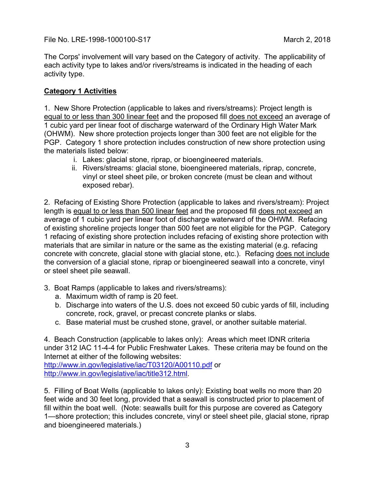The Corps' involvement will vary based on the Category of activity. The applicability of each activity type to lakes and/or rivers/streams is indicated in the heading of each activity type.

#### **Category 1 Activities**

1. New Shore Protection (applicable to lakes and rivers/streams): Project length is equal to or less than 300 linear feet and the proposed fill does not exceed an average of 1 cubic yard per linear foot of discharge waterward of the Ordinary High Water Mark (OHWM). New shore protection projects longer than 300 feet are not eligible for the PGP. Category 1 shore protection includes construction of new shore protection using the materials listed below:

- i. Lakes: glacial stone, riprap, or bioengineered materials.
- ii. Rivers/streams: glacial stone, bioengineered materials, riprap, concrete, vinyl or steel sheet pile, or broken concrete (must be clean and without exposed rebar).

2. Refacing of Existing Shore Protection (applicable to lakes and rivers/stream): Project length is equal to or less than 500 linear feet and the proposed fill does not exceed an average of 1 cubic yard per linear foot of discharge waterward of the OHWM. Refacing of existing shoreline projects longer than 500 feet are not eligible for the PGP. Category 1 refacing of existing shore protection includes refacing of existing shore protection with materials that are similar in nature or the same as the existing material (e.g. refacing concrete with concrete, glacial stone with glacial stone, etc.). Refacing does not include the conversion of a glacial stone, riprap or bioengineered seawall into a concrete, vinyl or steel sheet pile seawall.

- 3. Boat Ramps (applicable to lakes and rivers/streams):
	- a. Maximum width of ramp is 20 feet.
	- b. Discharge into waters of the U.S. does not exceed 50 cubic yards of fill, including concrete, rock, gravel, or precast concrete planks or slabs.
	- c. Base material must be crushed stone, gravel, or another suitable material.

4. Beach Construction (applicable to lakes only): Areas which meet IDNR criteria under 312 IAC 11-4-4 for Public Freshwater Lakes. These criteria may be found on the Internet at either of the following websites:

http://www.in.gov/legislative/iac/T03120/A00110.pdf or http://www.in.gov/legislative/iac/title312.html.

5. Filling of Boat Wells (applicable to lakes only): Existing boat wells no more than 20 feet wide and 30 feet long, provided that a seawall is constructed prior to placement of fill within the boat well. (Note: seawalls built for this purpose are covered as Category 1—shore protection; this includes concrete, vinyl or steel sheet pile, glacial stone, riprap and bioengineered materials.)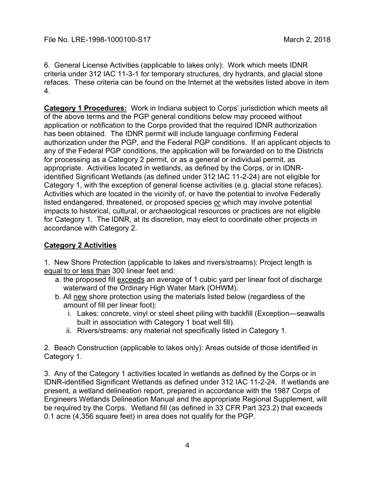6. General License Activities (applicable to lakes only): Work which meets IDNR criteria under 312 IAC 11-3-1 for temporary structures, dry hydrants, and glacial stone refaces. These criteria can be found on the Internet at the websites listed above in item 4.

**Category 1 Procedures:** Work in Indiana subject to Corps' jurisdiction which meets all of the above terms and the PGP general conditions below may proceed without application or notification to the Corps provided that the required IDNR authorization has been obtained. The IDNR permit will include language confirming Federal authorization under the PGP, and the Federal PGP conditions. If an applicant objects to any of the Federal PGP conditions, the application will be forwarded on to the Districts for processing as a Category 2 permit, or as a general or individual permit, as appropriate. Activities located in wetlands, as defined by the Corps, or in IDNRidentified Significant Wetlands (as defined under 312 IAC 11-2-24) are not eligible for Category 1, with the exception of general license activities (e.g. glacial stone refaces). Activities which are located in the vicinity of, or have the potential to involve Federally listed endangered, threatened, or proposed species or which may involve potential impacts to historical, cultural, or archaeological resources or practices are not eligible for Category 1. The IDNR, at its discretion, may elect to coordinate other projects in accordance with Category 2.

# **Category 2 Activities**

1. New Shore Protection (applicable to lakes and rivers/streams): Project length is equal to or less than 300 linear feet and:

- a. the proposed fill exceeds an average of 1 cubic yard per linear foot of discharge waterward of the Ordinary High Water Mark (OHWM).
- b. All new shore protection using the materials listed below (regardless of the amount of fill per linear foot):
	- i. Lakes: concrete, vinyl or steel sheet piling with backfill (Exception—seawalls built in association with Category 1 boat well fill).
	- ii. Rivers/streams: any material not specifically listed in Category 1.

2. Beach Construction (applicable to lakes only): Areas outside of those identified in Category 1.

3. Any of the Category 1 activities located in wetlands as defined by the Corps or in IDNR-identified Significant Wetlands as defined under 312 IAC 11-2-24. If wetlands are present, a wetland delineation report, prepared in accordance with the 1987 Corps of Engineers Wetlands Delineation Manual and the appropriate Regional Supplement, will be required by the Corps. Wetland fill (as defined in 33 CFR Part 323.2) that exceeds 0.1 acre (4,356 square feet) in area does not qualify for the PGP.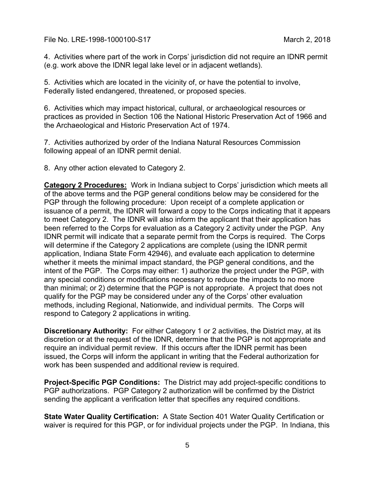4. Activities where part of the work in Corps' jurisdiction did not require an IDNR permit (e.g. work above the IDNR legal lake level or in adjacent wetlands).

5. Activities which are located in the vicinity of, or have the potential to involve, Federally listed endangered, threatened, or proposed species.

6. Activities which may impact historical, cultural, or archaeological resources or practices as provided in Section 106 the National Historic Preservation Act of 1966 and the Archaeological and Historic Preservation Act of 1974.

7. Activities authorized by order of the Indiana Natural Resources Commission following appeal of an IDNR permit denial.

8. Any other action elevated to Category 2.

**Category 2 Procedures:** Work in Indiana subject to Corps' jurisdiction which meets all of the above terms and the PGP general conditions below may be considered for the PGP through the following procedure: Upon receipt of a complete application or issuance of a permit, the IDNR will forward a copy to the Corps indicating that it appears to meet Category 2. The IDNR will also inform the applicant that their application has been referred to the Corps for evaluation as a Category 2 activity under the PGP. Any IDNR permit will indicate that a separate permit from the Corps is required. The Corps will determine if the Category 2 applications are complete (using the IDNR permit application, Indiana State Form 42946), and evaluate each application to determine whether it meets the minimal impact standard, the PGP general conditions, and the intent of the PGP. The Corps may either: 1) authorize the project under the PGP, with any special conditions or modifications necessary to reduce the impacts to no more than minimal; or 2) determine that the PGP is not appropriate. A project that does not qualify for the PGP may be considered under any of the Corps' other evaluation methods, including Regional, Nationwide, and individual permits. The Corps will respond to Category 2 applications in writing.

**Discretionary Authority:** For either Category 1 or 2 activities, the District may, at its discretion or at the request of the IDNR, determine that the PGP is not appropriate and require an individual permit review. If this occurs after the IDNR permit has been issued, the Corps will inform the applicant in writing that the Federal authorization for work has been suspended and additional review is required.

**Project-Specific PGP Conditions:** The District may add project-specific conditions to PGP authorizations. PGP Category 2 authorization will be confirmed by the District sending the applicant a verification letter that specifies any required conditions.

**State Water Quality Certification:** A State Section 401 Water Quality Certification or waiver is required for this PGP, or for individual projects under the PGP. In Indiana, this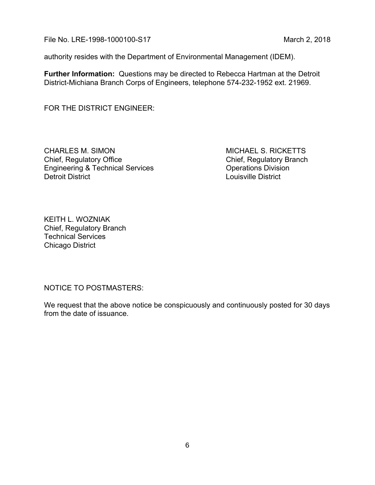authority resides with the Department of Environmental Management (IDEM).

**Further Information:** Questions may be directed to Rebecca Hartman at the Detroit District-Michiana Branch Corps of Engineers, telephone 574-232-1952 ext. 21969.

FOR THE DISTRICT ENGINEER:

CHARLES M. SIMON GHARLES MICHAEL S. RICKETTS Chief, Regulatory Office Chief, Regulatory Branch<br>Engineering & Technical Services Chief, Regulatory Branch Engineering & Technical Services Detroit District Louisville District

KEITH L. WOZNIAK Chief, Regulatory Branch Technical Services Chicago District

NOTICE TO POSTMASTERS:

We request that the above notice be conspicuously and continuously posted for 30 days from the date of issuance.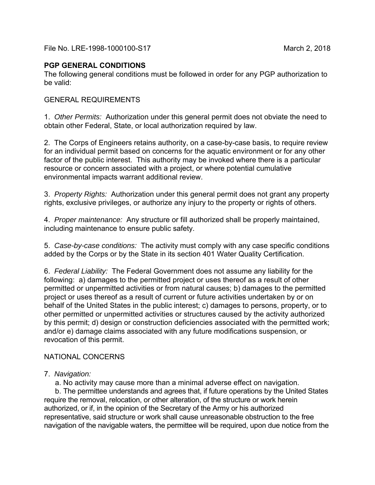## **PGP GENERAL CONDITIONS**

The following general conditions must be followed in order for any PGP authorization to be valid:

### GENERAL REQUIREMENTS

1. *Other Permits:* Authorization under this general permit does not obviate the need to obtain other Federal, State, or local authorization required by law.

2. The Corps of Engineers retains authority, on a case-by-case basis, to require review for an individual permit based on concerns for the aquatic environment or for any other factor of the public interest. This authority may be invoked where there is a particular resource or concern associated with a project, or where potential cumulative environmental impacts warrant additional review.

3. *Property Rights:* Authorization under this general permit does not grant any property rights, exclusive privileges, or authorize any injury to the property or rights of others.

4. *Proper maintenance:* Any structure or fill authorized shall be properly maintained, including maintenance to ensure public safety.

5. *Case-by-case conditions:* The activity must comply with any case specific conditions added by the Corps or by the State in its section 401 Water Quality Certification.

6. *Federal Liability:* The Federal Government does not assume any liability for the following: a) damages to the permitted project or uses thereof as a result of other permitted or unpermitted activities or from natural causes; b) damages to the permitted project or uses thereof as a result of current or future activities undertaken by or on behalf of the United States in the public interest; c) damages to persons, property, or to other permitted or unpermitted activities or structures caused by the activity authorized by this permit; d) design or construction deficiencies associated with the permitted work; and/or e) damage claims associated with any future modifications suspension, or revocation of this permit.

# NATIONAL CONCERNS

### 7. *Navigation:*

a. No activity may cause more than a minimal adverse effect on navigation.

 b. The permittee understands and agrees that, if future operations by the United States require the removal, relocation, or other alteration, of the structure or work herein authorized, or if, in the opinion of the Secretary of the Army or his authorized representative, said structure or work shall cause unreasonable obstruction to the free navigation of the navigable waters, the permittee will be required, upon due notice from the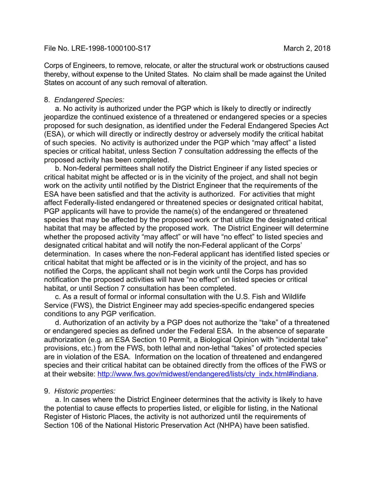Corps of Engineers, to remove, relocate, or alter the structural work or obstructions caused thereby, without expense to the United States. No claim shall be made against the United States on account of any such removal of alteration.

#### 8. *Endangered Species:*

 a. No activity is authorized under the PGP which is likely to directly or indirectly jeopardize the continued existence of a threatened or endangered species or a species proposed for such designation, as identified under the Federal Endangered Species Act (ESA), or which will directly or indirectly destroy or adversely modify the critical habitat of such species. No activity is authorized under the PGP which "may affect" a listed species or critical habitat, unless Section 7 consultation addressing the effects of the proposed activity has been completed.

 b. Non-federal permittees shall notify the District Engineer if any listed species or critical habitat might be affected or is in the vicinity of the project, and shall not begin work on the activity until notified by the District Engineer that the requirements of the ESA have been satisfied and that the activity is authorized. For activities that might affect Federally-listed endangered or threatened species or designated critical habitat, PGP applicants will have to provide the name(s) of the endangered or threatened species that may be affected by the proposed work or that utilize the designated critical habitat that may be affected by the proposed work. The District Engineer will determine whether the proposed activity "may affect" or will have "no effect" to listed species and designated critical habitat and will notify the non-Federal applicant of the Corps' determination. In cases where the non-Federal applicant has identified listed species or critical habitat that might be affected or is in the vicinity of the project, and has so notified the Corps, the applicant shall not begin work until the Corps has provided notification the proposed activities will have "no effect" on listed species or critical habitat, or until Section 7 consultation has been completed.

 c. As a result of formal or informal consultation with the U.S. Fish and Wildlife Service (FWS), the District Engineer may add species-specific endangered species conditions to any PGP verification.

 d. Authorization of an activity by a PGP does not authorize the "take" of a threatened or endangered species as defined under the Federal ESA. In the absence of separate authorization (e.g*.* an ESA Section 10 Permit, a Biological Opinion with "incidental take" provisions, etc.) from the FWS, both lethal and non-lethal "takes" of protected species are in violation of the ESA. Information on the location of threatened and endangered species and their critical habitat can be obtained directly from the offices of the FWS or at their website: http://www.fws.gov/midwest/endangered/lists/cty\_indx.html#indiana.

#### 9. *Historic properties:*

 a. In cases where the District Engineer determines that the activity is likely to have the potential to cause effects to properties listed, or eligible for listing, in the National Register of Historic Places, the activity is not authorized until the requirements of Section 106 of the National Historic Preservation Act (NHPA) have been satisfied.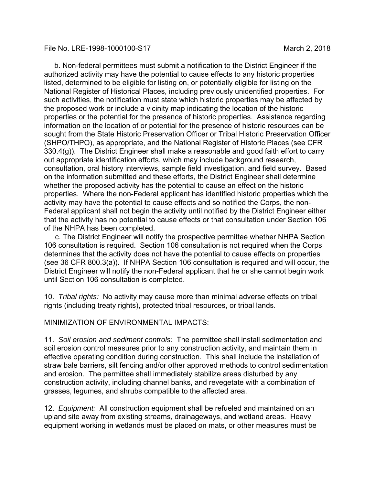b. Non-federal permittees must submit a notification to the District Engineer if the authorized activity may have the potential to cause effects to any historic properties listed, determined to be eligible for listing on, or potentially eligible for listing on the National Register of Historical Places, including previously unidentified properties. For such activities, the notification must state which historic properties may be affected by the proposed work or include a vicinity map indicating the location of the historic properties or the potential for the presence of historic properties. Assistance regarding information on the location of or potential for the presence of historic resources can be sought from the State Historic Preservation Officer or Tribal Historic Preservation Officer (SHPO/THPO), as appropriate, and the National Register of Historic Places (see CFR 330.4(g)). The District Engineer shall make a reasonable and good faith effort to carry out appropriate identification efforts, which may include background research, consultation, oral history interviews, sample field investigation, and field survey. Based on the information submitted and these efforts, the District Engineer shall determine whether the proposed activity has the potential to cause an effect on the historic properties. Where the non-Federal applicant has identified historic properties which the activity may have the potential to cause effects and so notified the Corps, the non-Federal applicant shall not begin the activity until notified by the District Engineer either that the activity has no potential to cause effects or that consultation under Section 106 of the NHPA has been completed.

 c. The District Engineer will notify the prospective permittee whether NHPA Section 106 consultation is required. Section 106 consultation is not required when the Corps determines that the activity does not have the potential to cause effects on properties (see 36 CFR 800.3(a)). If NHPA Section 106 consultation is required and will occur, the District Engineer will notify the non-Federal applicant that he or she cannot begin work until Section 106 consultation is completed.

10. *Tribal rights:* No activity may cause more than minimal adverse effects on tribal rights (including treaty rights), protected tribal resources, or tribal lands.

MINIMIZATION OF ENVIRONMENTAL IMPACTS:

11. *Soil erosion and sediment controls:* The permittee shall install sedimentation and soil erosion control measures prior to any construction activity, and maintain them in effective operating condition during construction. This shall include the installation of straw bale barriers, silt fencing and/or other approved methods to control sedimentation and erosion. The permittee shall immediately stabilize areas disturbed by any construction activity, including channel banks, and revegetate with a combination of grasses, legumes, and shrubs compatible to the affected area.

12. *Equipment:* All construction equipment shall be refueled and maintained on an upland site away from existing streams, drainageways, and wetland areas. Heavy equipment working in wetlands must be placed on mats, or other measures must be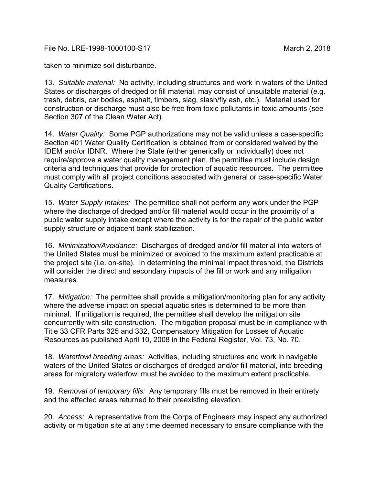taken to minimize soil disturbance.

13. *Suitable material:* No activity, including structures and work in waters of the United States or discharges of dredged or fill material, may consist of unsuitable material (e.g. trash, debris, car bodies, asphalt, timbers, slag, slash/fly ash, etc.). Material used for construction or discharge must also be free from toxic pollutants in toxic amounts (see Section 307 of the Clean Water Act).

14. *Water Quality:* Some PGP authorizations may not be valid unless a case-specific Section 401 Water Quality Certification is obtained from or considered waived by the IDEM and/or IDNR. Where the State (either generically or individually) does not require/approve a water quality management plan, the permittee must include design criteria and techniques that provide for protection of aquatic resources. The permittee must comply with all project conditions associated with general or case-specific Water Quality Certifications.

15. *Water Supply Intakes:* The permittee shall not perform any work under the PGP where the discharge of dredged and/or fill material would occur in the proximity of a public water supply intake except where the activity is for the repair of the public water supply structure or adjacent bank stabilization.

16. *Minimization/Avoidance:* Discharges of dredged and/or fill material into waters of the United States must be minimized or avoided to the maximum extent practicable at the project site (i.e. on-site). In determining the minimal impact threshold, the Districts will consider the direct and secondary impacts of the fill or work and any mitigation measures.

17. *Mitigation:* The permittee shall provide a mitigation/monitoring plan for any activity where the adverse impact on special aquatic sites is determined to be more than minimal. If mitigation is required, the permittee shall develop the mitigation site concurrently with site construction. The mitigation proposal must be in compliance with Title 33 CFR Parts 325 and 332, Compensatory Mitigation for Losses of Aquatic Resources as published April 10, 2008 in the Federal Register, Vol. 73, No. 70.

18. *Waterfowl breeding areas:* Activities, including structures and work in navigable waters of the United States or discharges of dredged and/or fill material, into breeding areas for migratory waterfowl must be avoided to the maximum extent practicable.

19. *Removal of temporary fills:* Any temporary fills must be removed in their entirety and the affected areas returned to their preexisting elevation.

20. *Access:* A representative from the Corps of Engineers may inspect any authorized activity or mitigation site at any time deemed necessary to ensure compliance with the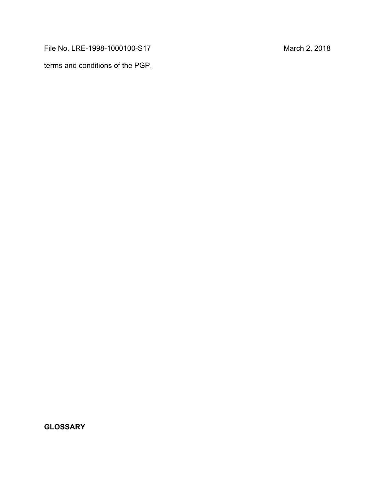terms and conditions of the PGP.

**GLOSSARY**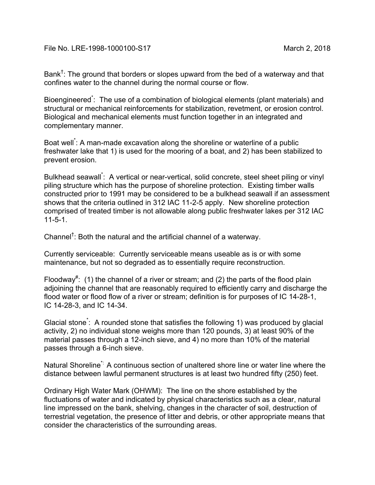Bank $^\dagger$ : The ground that borders or slopes upward from the bed of a waterway and that confines water to the channel during the normal course or flow.

Bioengineered<sup>\*</sup>: The use of a combination of biological elements (plant materials) and structural or mechanical reinforcements for stabilization, revetment, or erosion control. Biological and mechanical elements must function together in an integrated and complementary manner.

Boat well\* : A man-made excavation along the shoreline or waterline of a public freshwater lake that 1) is used for the mooring of a boat, and 2) has been stabilized to prevent erosion.

Bulkhead seawall\* : A vertical or near-vertical, solid concrete, steel sheet piling or vinyl piling structure which has the purpose of shoreline protection. Existing timber walls constructed prior to 1991 may be considered to be a bulkhead seawall if an assessment shows that the criteria outlined in 312 IAC 11-2-5 apply. New shoreline protection comprised of treated timber is not allowable along public freshwater lakes per 312 IAC 11-5-1.

Channel† : Both the natural and the artificial channel of a waterway.

Currently serviceable: Currently serviceable means useable as is or with some maintenance, but not so degraded as to essentially require reconstruction.

Floodway<sup>#</sup>: (1) the channel of a river or stream; and (2) the parts of the flood plain adjoining the channel that are reasonably required to efficiently carry and discharge the flood water or flood flow of a river or stream; definition is for purposes of IC 14-28-1, IC 14-28-3, and IC 14-34.

Glacial stone\* : A rounded stone that satisfies the following 1) was produced by glacial activity, 2) no individual stone weighs more than 120 pounds, 3) at least 90% of the material passes through a 12-inch sieve, and 4) no more than 10% of the material passes through a 6-inch sieve.

Natural Shoreline\*: A continuous section of unaltered shore line or water line where the distance between lawful permanent structures is at least two hundred fifty (250) feet.

Ordinary High Water Mark (OHWM): The line on the shore established by the fluctuations of water and indicated by physical characteristics such as a clear, natural line impressed on the bank, shelving, changes in the character of soil, destruction of terrestrial vegetation, the presence of litter and debris, or other appropriate means that consider the characteristics of the surrounding areas.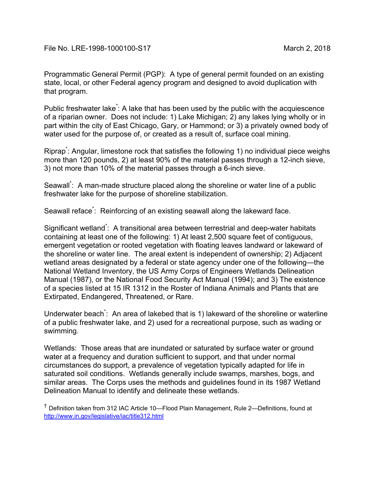Programmatic General Permit (PGP): A type of general permit founded on an existing state, local, or other Federal agency program and designed to avoid duplication with that program.

Public freshwater lake<sup>\*</sup>: A lake that has been used by the public with the acquiescence of a riparian owner. Does not include: 1) Lake Michigan; 2) any lakes lying wholly or in part within the city of East Chicago, Gary, or Hammond; or 3) a privately owned body of water used for the purpose of, or created as a result of, surface coal mining.

Riprap<sup>\*</sup>: Angular, limestone rock that satisfies the following 1) no individual piece weighs more than 120 pounds, 2) at least 90% of the material passes through a 12-inch sieve, 3) not more than 10% of the material passes through a 6-inch sieve.

Seawall<sup>\*</sup>: A man-made structure placed along the shoreline or water line of a public freshwater lake for the purpose of shoreline stabilization.

Seawall reface<sup>\*</sup>: Reinforcing of an existing seawall along the lakeward face.

Significant wetland<sup>\*</sup>: A transitional area between terrestrial and deep-water habitats containing at least one of the following: 1) At least 2,500 square feet of contiguous, emergent vegetation or rooted vegetation with floating leaves landward or lakeward of the shoreline or water line. The areal extent is independent of ownership; 2) Adjacent wetland areas designated by a federal or state agency under one of the following—the National Wetland Inventory, the US Army Corps of Engineers Wetlands Delineation Manual (1987), or the National Food Security Act Manual (1994); and 3) The existence of a species listed at 15 IR 1312 in the Roster of Indiana Animals and Plants that are Extirpated, Endangered, Threatened, or Rare.

Underwater beach<sup>\*</sup>: An area of lakebed that is 1) lakeward of the shoreline or waterline of a public freshwater lake, and 2) used for a recreational purpose, such as wading or swimming.

Wetlands: Those areas that are inundated or saturated by surface water or ground water at a frequency and duration sufficient to support, and that under normal circumstances do support, a prevalence of vegetation typically adapted for life in saturated soil conditions. Wetlands generally include swamps, marshes, bogs, and similar areas. The Corps uses the methods and guidelines found in its 1987 Wetland Delineation Manual to identify and delineate these wetlands.

† Definition taken from 312 IAC Article 10—Flood Plain Management, Rule 2—Definitions, found at http://www.in.gov/legislative/iac/title312.html